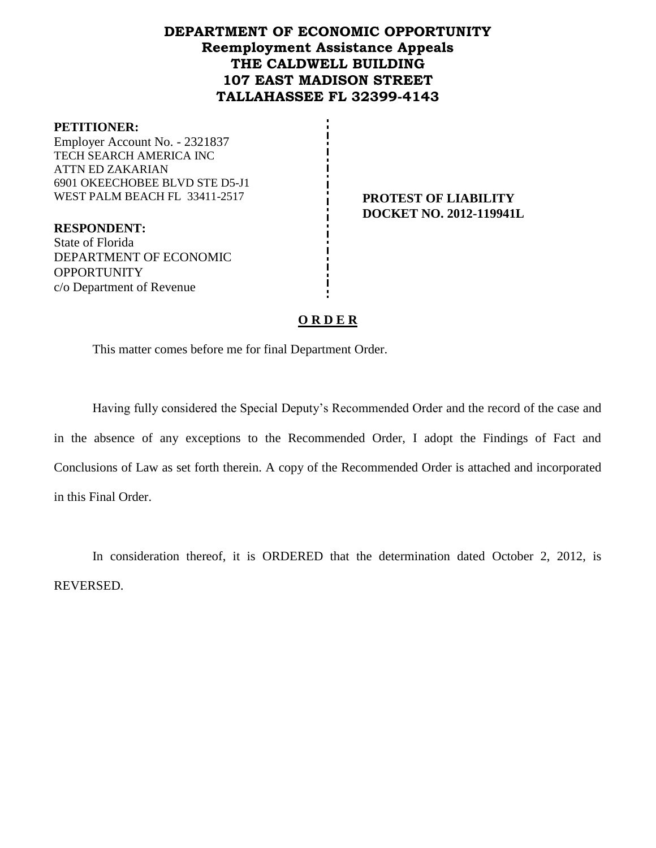## **DEPARTMENT OF ECONOMIC OPPORTUNITY Reemployment Assistance Appeals THE CALDWELL BUILDING 107 EAST MADISON STREET TALLAHASSEE FL 32399-4143**

#### **PETITIONER:**

Employer Account No. - 2321837 TECH SEARCH AMERICA INC ATTN ED ZAKARIAN 6901 OKEECHOBEE BLVD STE D5-J1 WEST PALM BEACH FL 33411-2517 **PROTEST OF LIABILITY** 

**RESPONDENT:** State of Florida DEPARTMENT OF ECONOMIC **OPPORTUNITY** c/o Department of Revenue

# **DOCKET NO. 2012-119941L**

## **O R D E R**

This matter comes before me for final Department Order.

Having fully considered the Special Deputy's Recommended Order and the record of the case and in the absence of any exceptions to the Recommended Order, I adopt the Findings of Fact and Conclusions of Law as set forth therein. A copy of the Recommended Order is attached and incorporated in this Final Order.

In consideration thereof, it is ORDERED that the determination dated October 2, 2012, is REVERSED.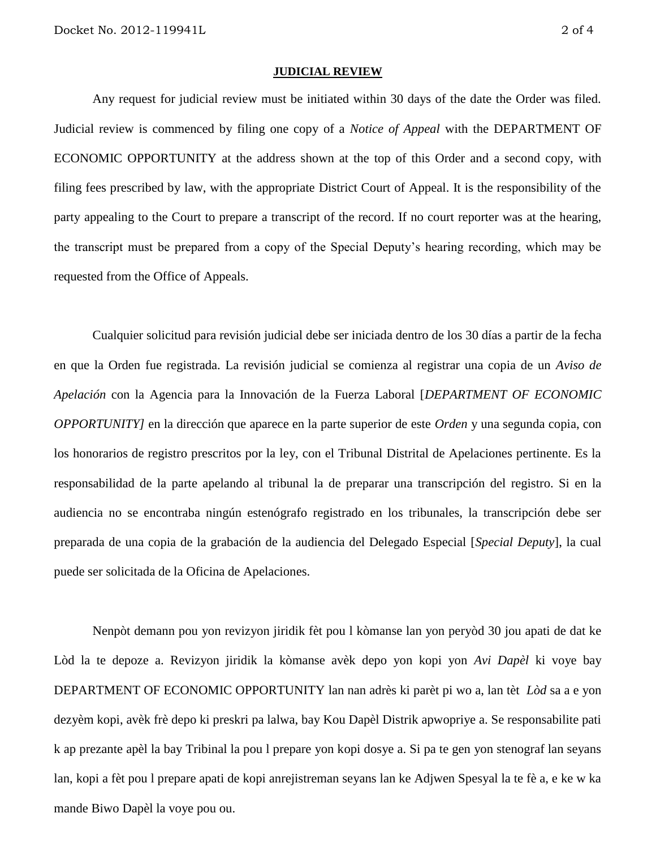#### **JUDICIAL REVIEW**

Any request for judicial review must be initiated within 30 days of the date the Order was filed. Judicial review is commenced by filing one copy of a *Notice of Appeal* with the DEPARTMENT OF ECONOMIC OPPORTUNITY at the address shown at the top of this Order and a second copy, with filing fees prescribed by law, with the appropriate District Court of Appeal. It is the responsibility of the party appealing to the Court to prepare a transcript of the record. If no court reporter was at the hearing, the transcript must be prepared from a copy of the Special Deputy's hearing recording, which may be requested from the Office of Appeals.

Cualquier solicitud para revisión judicial debe ser iniciada dentro de los 30 días a partir de la fecha en que la Orden fue registrada. La revisión judicial se comienza al registrar una copia de un *Aviso de Apelación* con la Agencia para la Innovación de la Fuerza Laboral [*DEPARTMENT OF ECONOMIC OPPORTUNITY]* en la dirección que aparece en la parte superior de este *Orden* y una segunda copia, con los honorarios de registro prescritos por la ley, con el Tribunal Distrital de Apelaciones pertinente. Es la responsabilidad de la parte apelando al tribunal la de preparar una transcripción del registro. Si en la audiencia no se encontraba ningún estenógrafo registrado en los tribunales, la transcripción debe ser preparada de una copia de la grabación de la audiencia del Delegado Especial [*Special Deputy*], la cual puede ser solicitada de la Oficina de Apelaciones.

Nenpòt demann pou yon revizyon jiridik fèt pou l kòmanse lan yon peryòd 30 jou apati de dat ke Lòd la te depoze a. Revizyon jiridik la kòmanse avèk depo yon kopi yon *Avi Dapèl* ki voye bay DEPARTMENT OF ECONOMIC OPPORTUNITY lan nan adrès ki parèt pi wo a, lan tèt *Lòd* sa a e yon dezyèm kopi, avèk frè depo ki preskri pa lalwa, bay Kou Dapèl Distrik apwopriye a. Se responsabilite pati k ap prezante apèl la bay Tribinal la pou l prepare yon kopi dosye a. Si pa te gen yon stenograf lan seyans lan, kopi a fèt pou l prepare apati de kopi anrejistreman seyans lan ke Adjwen Spesyal la te fè a, e ke w ka mande Biwo Dapèl la voye pou ou.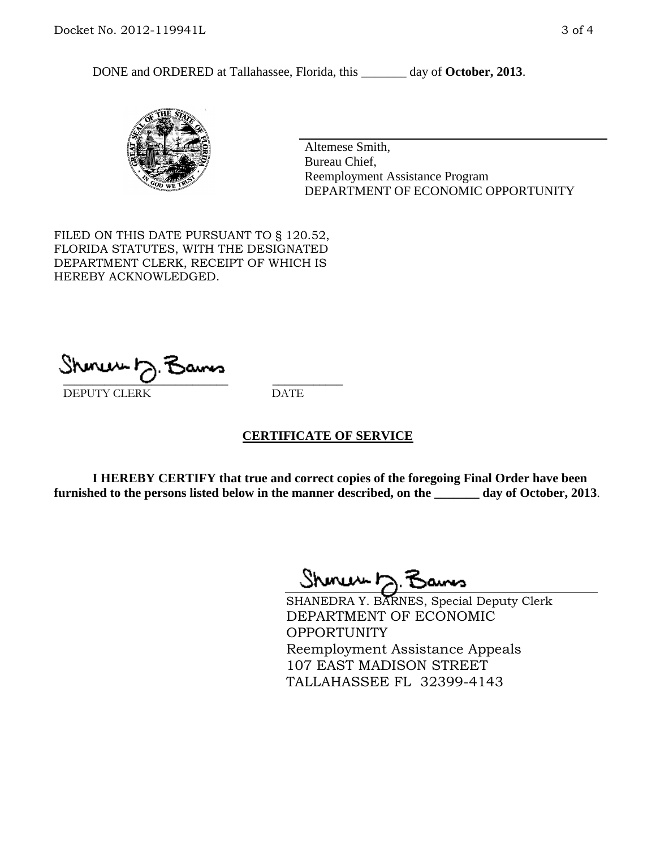DONE and ORDERED at Tallahassee, Florida, this day of October, 2013.



Altemese Smith, Bureau Chief, Reemployment Assistance Program DEPARTMENT OF ECONOMIC OPPORTUNITY

FILED ON THIS DATE PURSUANT TO § 120.52, FLORIDA STATUTES, WITH THE DESIGNATED DEPARTMENT CLERK, RECEIPT OF WHICH IS HEREBY ACKNOWLEDGED.

 $\overline{\phantom{a}}$  ,  $\overline{\phantom{a}}$  ,  $\overline{\phantom{a}}$  ,  $\overline{\phantom{a}}$  ,  $\overline{\phantom{a}}$  ,  $\overline{\phantom{a}}$  ,  $\overline{\phantom{a}}$  ,  $\overline{\phantom{a}}$  ,  $\overline{\phantom{a}}$  ,  $\overline{\phantom{a}}$  ,  $\overline{\phantom{a}}$  ,  $\overline{\phantom{a}}$  ,  $\overline{\phantom{a}}$  ,  $\overline{\phantom{a}}$  ,  $\overline{\phantom{a}}$  ,  $\overline{\phantom{a}}$ DEPUTY CLERK DATE

## **CERTIFICATE OF SERVICE**

**I HEREBY CERTIFY that true and correct copies of the foregoing Final Order have been furnished to the persons listed below in the manner described, on the \_\_\_\_\_\_\_ day of October, 2013**.

Shmun h.F

SHANEDRA Y. BARNES, Special Deputy Clerk DEPARTMENT OF ECONOMIC **OPPORTUNITY** Reemployment Assistance Appeals 107 EAST MADISON STREET TALLAHASSEE FL 32399-4143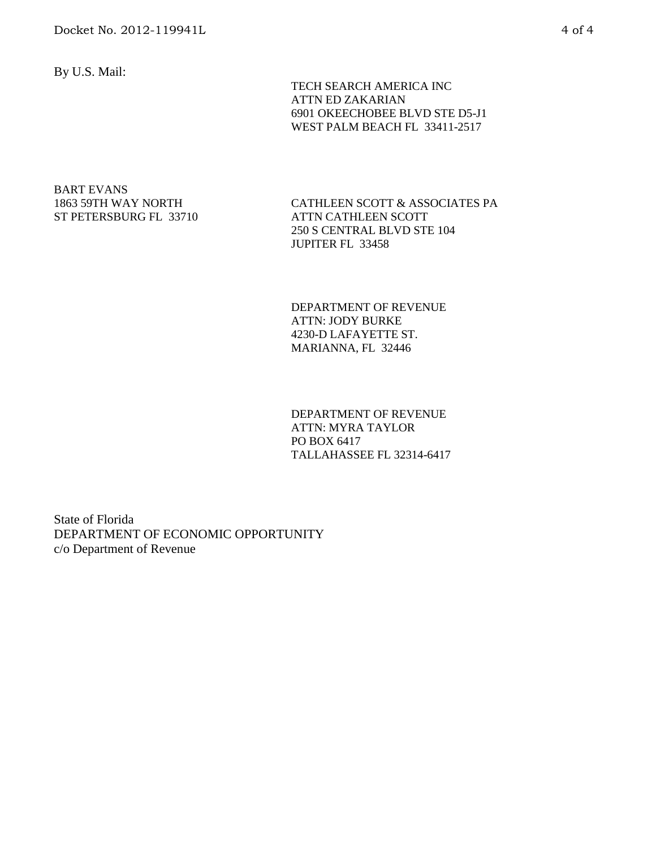By U.S. Mail:

 TECH SEARCH AMERICA INC ATTN ED ZAKARIAN 6901 OKEECHOBEE BLVD STE D5-J1 WEST PALM BEACH FL 33411-2517

#### BART EVANS 1863 59TH WAY NORTH ST PETERSBURG FL 33710

CATHLEEN SCOTT & ASSOCIATES PA ATTN CATHLEEN SCOTT 250 S CENTRAL BLVD STE 104 JUPITER FL 33458

DEPARTMENT OF REVENUE ATTN: JODY BURKE 4230-D LAFAYETTE ST. MARIANNA, FL 32446

DEPARTMENT OF REVENUE ATTN: MYRA TAYLOR PO BOX 6417 TALLAHASSEE FL 32314-6417

State of Florida DEPARTMENT OF ECONOMIC OPPORTUNITY c/o Department of Revenue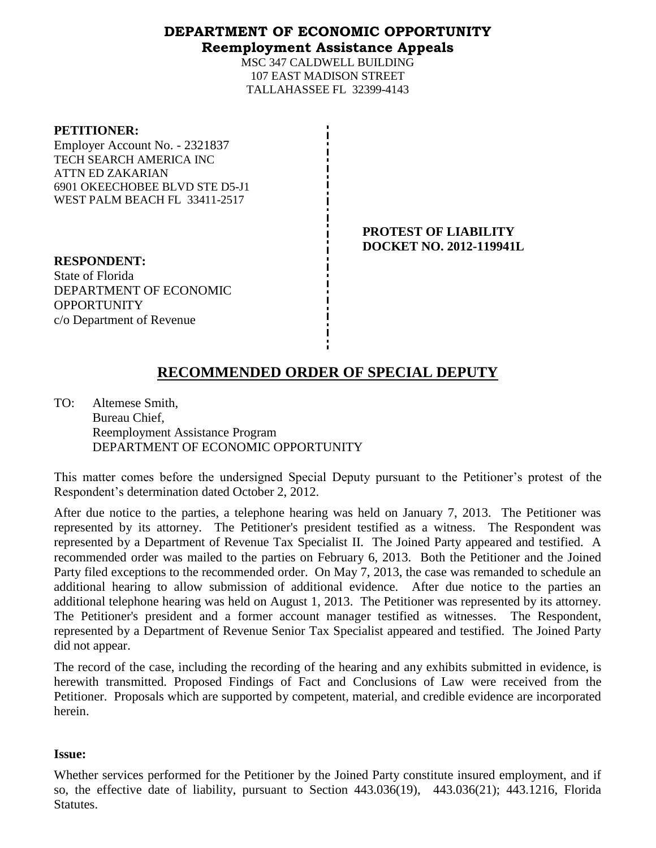## **DEPARTMENT OF ECONOMIC OPPORTUNITY Reemployment Assistance Appeals**

MSC 347 CALDWELL BUILDING 107 EAST MADISON STREET TALLAHASSEE FL 32399-4143

| <b>PETITIONER:</b> |
|--------------------|
|--------------------|

Employer Account No. - 2321837 TECH SEARCH AMERICA INC ATTN ED ZAKARIAN 6901 OKEECHOBEE BLVD STE D5-J1 WEST PALM BEACH FL 33411-2517

> **PROTEST OF LIABILITY DOCKET NO. 2012-119941L**

**RESPONDENT:** State of Florida DEPARTMENT OF ECONOMIC **OPPORTUNITY** c/o Department of Revenue

# **RECOMMENDED ORDER OF SPECIAL DEPUTY**

TO: Altemese Smith, Bureau Chief, Reemployment Assistance Program DEPARTMENT OF ECONOMIC OPPORTUNITY

This matter comes before the undersigned Special Deputy pursuant to the Petitioner's protest of the Respondent's determination dated October 2, 2012.

After due notice to the parties, a telephone hearing was held on January 7, 2013. The Petitioner was represented by its attorney. The Petitioner's president testified as a witness. The Respondent was represented by a Department of Revenue Tax Specialist II. The Joined Party appeared and testified. A recommended order was mailed to the parties on February 6, 2013. Both the Petitioner and the Joined Party filed exceptions to the recommended order. On May 7, 2013, the case was remanded to schedule an additional hearing to allow submission of additional evidence. After due notice to the parties an additional telephone hearing was held on August 1, 2013. The Petitioner was represented by its attorney. The Petitioner's president and a former account manager testified as witnesses. The Respondent, represented by a Department of Revenue Senior Tax Specialist appeared and testified. The Joined Party did not appear.

The record of the case, including the recording of the hearing and any exhibits submitted in evidence, is herewith transmitted. Proposed Findings of Fact and Conclusions of Law were received from the Petitioner. Proposals which are supported by competent, material, and credible evidence are incorporated herein.

## **Issue:**

Whether services performed for the Petitioner by the Joined Party constitute insured employment, and if so, the effective date of liability, pursuant to Section 443.036(19), 443.036(21); 443.1216, Florida Statutes.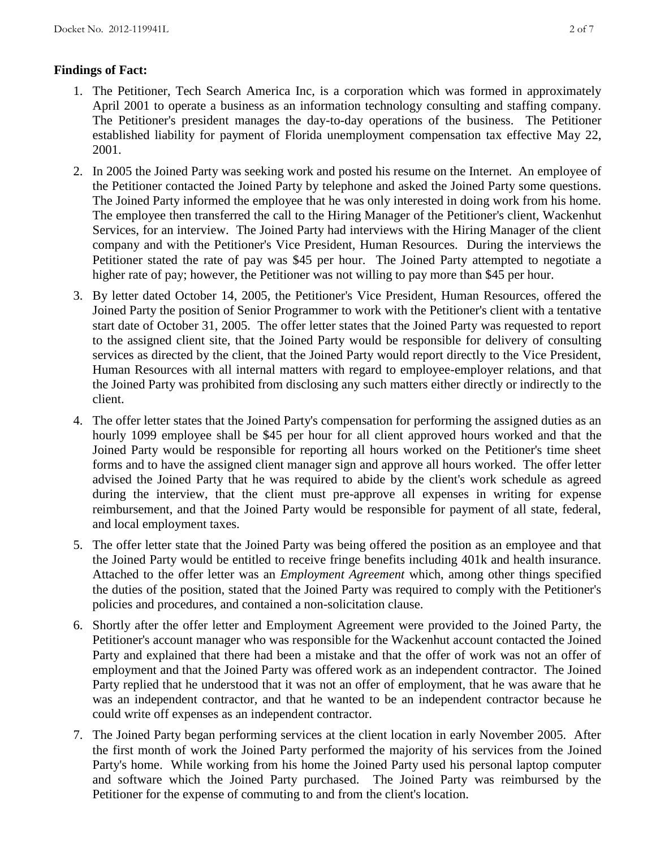## **Findings of Fact:**

- 1. The Petitioner, Tech Search America Inc, is a corporation which was formed in approximately April 2001 to operate a business as an information technology consulting and staffing company. The Petitioner's president manages the day-to-day operations of the business. The Petitioner established liability for payment of Florida unemployment compensation tax effective May 22, 2001.
- 2. In 2005 the Joined Party was seeking work and posted his resume on the Internet. An employee of the Petitioner contacted the Joined Party by telephone and asked the Joined Party some questions. The Joined Party informed the employee that he was only interested in doing work from his home. The employee then transferred the call to the Hiring Manager of the Petitioner's client, Wackenhut Services, for an interview. The Joined Party had interviews with the Hiring Manager of the client company and with the Petitioner's Vice President, Human Resources. During the interviews the Petitioner stated the rate of pay was \$45 per hour. The Joined Party attempted to negotiate a higher rate of pay; however, the Petitioner was not willing to pay more than \$45 per hour.
- 3. By letter dated October 14, 2005, the Petitioner's Vice President, Human Resources, offered the Joined Party the position of Senior Programmer to work with the Petitioner's client with a tentative start date of October 31, 2005. The offer letter states that the Joined Party was requested to report to the assigned client site, that the Joined Party would be responsible for delivery of consulting services as directed by the client, that the Joined Party would report directly to the Vice President, Human Resources with all internal matters with regard to employee-employer relations, and that the Joined Party was prohibited from disclosing any such matters either directly or indirectly to the client.
- 4. The offer letter states that the Joined Party's compensation for performing the assigned duties as an hourly 1099 employee shall be \$45 per hour for all client approved hours worked and that the Joined Party would be responsible for reporting all hours worked on the Petitioner's time sheet forms and to have the assigned client manager sign and approve all hours worked. The offer letter advised the Joined Party that he was required to abide by the client's work schedule as agreed during the interview, that the client must pre-approve all expenses in writing for expense reimbursement, and that the Joined Party would be responsible for payment of all state, federal, and local employment taxes.
- 5. The offer letter state that the Joined Party was being offered the position as an employee and that the Joined Party would be entitled to receive fringe benefits including 401k and health insurance. Attached to the offer letter was an *Employment Agreement* which, among other things specified the duties of the position, stated that the Joined Party was required to comply with the Petitioner's policies and procedures, and contained a non-solicitation clause.
- 6. Shortly after the offer letter and Employment Agreement were provided to the Joined Party, the Petitioner's account manager who was responsible for the Wackenhut account contacted the Joined Party and explained that there had been a mistake and that the offer of work was not an offer of employment and that the Joined Party was offered work as an independent contractor. The Joined Party replied that he understood that it was not an offer of employment, that he was aware that he was an independent contractor, and that he wanted to be an independent contractor because he could write off expenses as an independent contractor.
- 7. The Joined Party began performing services at the client location in early November 2005. After the first month of work the Joined Party performed the majority of his services from the Joined Party's home. While working from his home the Joined Party used his personal laptop computer and software which the Joined Party purchased. The Joined Party was reimbursed by the Petitioner for the expense of commuting to and from the client's location.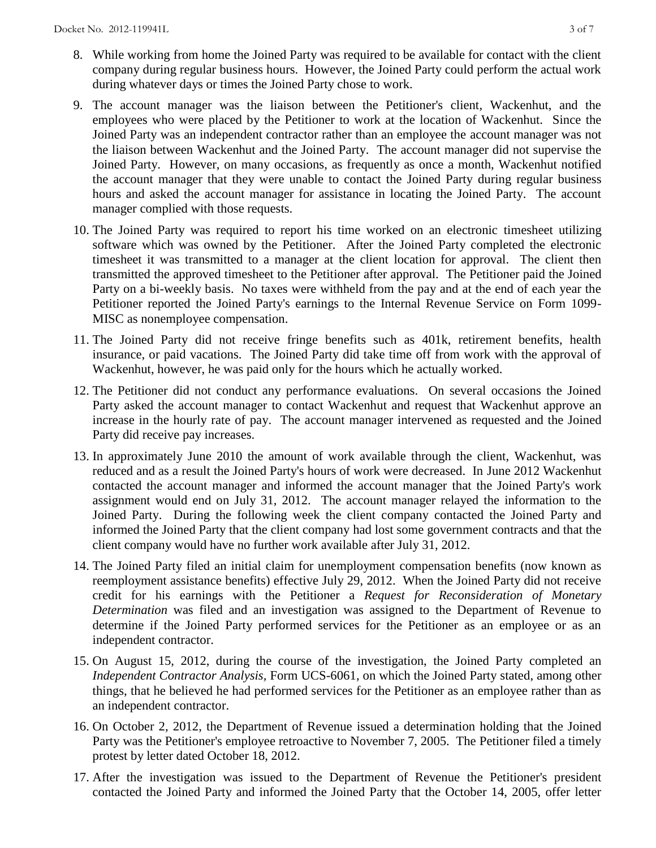- 8. While working from home the Joined Party was required to be available for contact with the client company during regular business hours. However, the Joined Party could perform the actual work during whatever days or times the Joined Party chose to work.
- 9. The account manager was the liaison between the Petitioner's client, Wackenhut, and the employees who were placed by the Petitioner to work at the location of Wackenhut. Since the Joined Party was an independent contractor rather than an employee the account manager was not the liaison between Wackenhut and the Joined Party. The account manager did not supervise the Joined Party. However, on many occasions, as frequently as once a month, Wackenhut notified the account manager that they were unable to contact the Joined Party during regular business hours and asked the account manager for assistance in locating the Joined Party. The account manager complied with those requests.
- 10. The Joined Party was required to report his time worked on an electronic timesheet utilizing software which was owned by the Petitioner. After the Joined Party completed the electronic timesheet it was transmitted to a manager at the client location for approval. The client then transmitted the approved timesheet to the Petitioner after approval. The Petitioner paid the Joined Party on a bi-weekly basis. No taxes were withheld from the pay and at the end of each year the Petitioner reported the Joined Party's earnings to the Internal Revenue Service on Form 1099- MISC as nonemployee compensation.
- 11. The Joined Party did not receive fringe benefits such as 401k, retirement benefits, health insurance, or paid vacations. The Joined Party did take time off from work with the approval of Wackenhut, however, he was paid only for the hours which he actually worked.
- 12. The Petitioner did not conduct any performance evaluations. On several occasions the Joined Party asked the account manager to contact Wackenhut and request that Wackenhut approve an increase in the hourly rate of pay. The account manager intervened as requested and the Joined Party did receive pay increases.
- 13. In approximately June 2010 the amount of work available through the client, Wackenhut, was reduced and as a result the Joined Party's hours of work were decreased. In June 2012 Wackenhut contacted the account manager and informed the account manager that the Joined Party's work assignment would end on July 31, 2012. The account manager relayed the information to the Joined Party. During the following week the client company contacted the Joined Party and informed the Joined Party that the client company had lost some government contracts and that the client company would have no further work available after July 31, 2012.
- 14. The Joined Party filed an initial claim for unemployment compensation benefits (now known as reemployment assistance benefits) effective July 29, 2012. When the Joined Party did not receive credit for his earnings with the Petitioner a *Request for Reconsideration of Monetary Determination* was filed and an investigation was assigned to the Department of Revenue to determine if the Joined Party performed services for the Petitioner as an employee or as an independent contractor.
- 15. On August 15, 2012, during the course of the investigation, the Joined Party completed an *Independent Contractor Analysis,* Form UCS-6061, on which the Joined Party stated, among other things, that he believed he had performed services for the Petitioner as an employee rather than as an independent contractor.
- 16. On October 2, 2012, the Department of Revenue issued a determination holding that the Joined Party was the Petitioner's employee retroactive to November 7, 2005. The Petitioner filed a timely protest by letter dated October 18, 2012.
- 17. After the investigation was issued to the Department of Revenue the Petitioner's president contacted the Joined Party and informed the Joined Party that the October 14, 2005, offer letter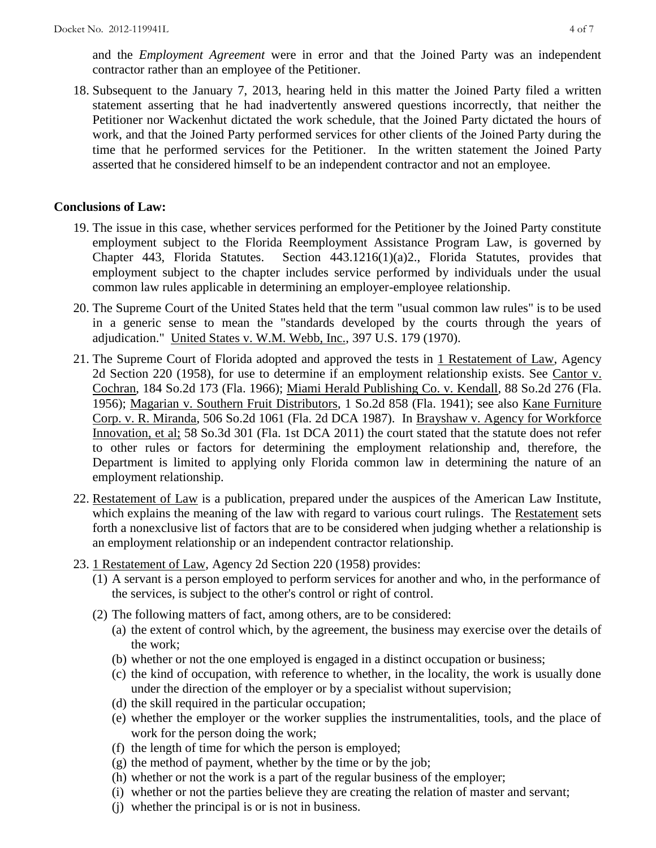and the *Employment Agreement* were in error and that the Joined Party was an independent contractor rather than an employee of the Petitioner.

18. Subsequent to the January 7, 2013, hearing held in this matter the Joined Party filed a written statement asserting that he had inadvertently answered questions incorrectly, that neither the Petitioner nor Wackenhut dictated the work schedule, that the Joined Party dictated the hours of work, and that the Joined Party performed services for other clients of the Joined Party during the time that he performed services for the Petitioner. In the written statement the Joined Party asserted that he considered himself to be an independent contractor and not an employee.

## **Conclusions of Law:**

- 19. The issue in this case, whether services performed for the Petitioner by the Joined Party constitute employment subject to the Florida Reemployment Assistance Program Law, is governed by Chapter 443, Florida Statutes. Section 443.1216(1)(a)2., Florida Statutes, provides that employment subject to the chapter includes service performed by individuals under the usual common law rules applicable in determining an employer-employee relationship.
- 20. The Supreme Court of the United States held that the term "usual common law rules" is to be used in a generic sense to mean the "standards developed by the courts through the years of adjudication." United States v. W.M. Webb, Inc., 397 U.S. 179 (1970).
- 21. The Supreme Court of Florida adopted and approved the tests in 1 Restatement of Law, Agency 2d Section 220 (1958), for use to determine if an employment relationship exists. See Cantor v. Cochran, 184 So.2d 173 (Fla. 1966); Miami Herald Publishing Co. v. Kendall, 88 So.2d 276 (Fla. 1956); Magarian v. Southern Fruit Distributors, 1 So.2d 858 (Fla. 1941); see also Kane Furniture Corp. v. R. Miranda, 506 So.2d 1061 (Fla. 2d DCA 1987). In Brayshaw v. Agency for Workforce Innovation, et al; 58 So.3d 301 (Fla. 1st DCA 2011) the court stated that the statute does not refer to other rules or factors for determining the employment relationship and, therefore, the Department is limited to applying only Florida common law in determining the nature of an employment relationship.
- 22. Restatement of Law is a publication, prepared under the auspices of the American Law Institute, which explains the meaning of the law with regard to various court rulings. The Restatement sets forth a nonexclusive list of factors that are to be considered when judging whether a relationship is an employment relationship or an independent contractor relationship.
- 23. 1 Restatement of Law, Agency 2d Section 220 (1958) provides:
	- (1) A servant is a person employed to perform services for another and who, in the performance of the services, is subject to the other's control or right of control.
	- (2) The following matters of fact, among others, are to be considered:
		- (a) the extent of control which, by the agreement, the business may exercise over the details of the work;
		- (b) whether or not the one employed is engaged in a distinct occupation or business;
		- (c) the kind of occupation, with reference to whether, in the locality, the work is usually done under the direction of the employer or by a specialist without supervision;
		- (d) the skill required in the particular occupation;
		- (e) whether the employer or the worker supplies the instrumentalities, tools, and the place of work for the person doing the work;
		- (f) the length of time for which the person is employed;
		- $(g)$  the method of payment, whether by the time or by the job;
		- (h) whether or not the work is a part of the regular business of the employer;
		- (i) whether or not the parties believe they are creating the relation of master and servant;
		- (j) whether the principal is or is not in business.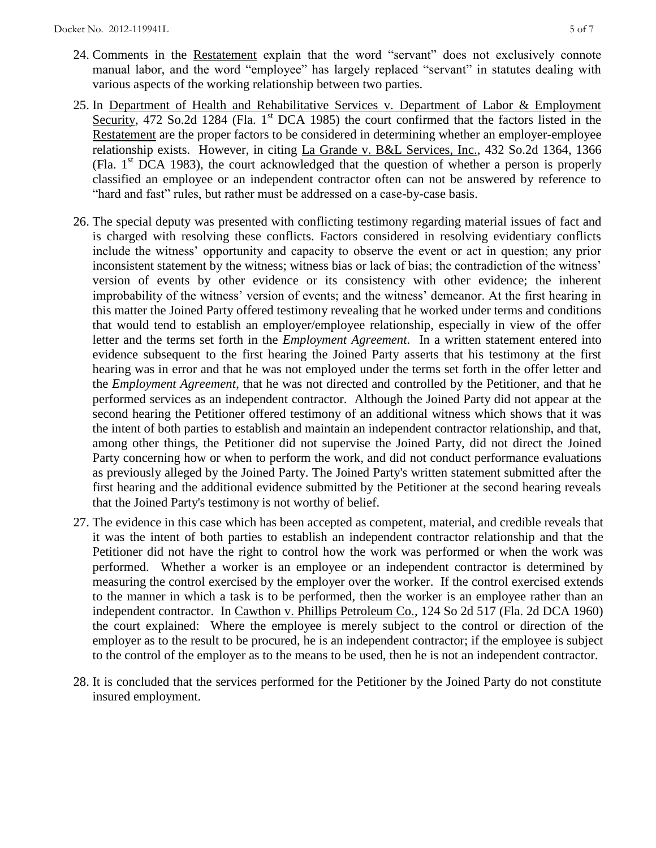- 24. Comments in the Restatement explain that the word "servant" does not exclusively connote manual labor, and the word "employee" has largely replaced "servant" in statutes dealing with various aspects of the working relationship between two parties.
- 25. In Department of Health and Rehabilitative Services v. Department of Labor & Employment Security, 472 So.2d 1284 (Fla. 1<sup>st</sup> DCA 1985) the court confirmed that the factors listed in the Restatement are the proper factors to be considered in determining whether an employer-employee relationship exists. However, in citing La Grande v. B&L Services, Inc., 432 So.2d 1364, 1366 (Fla.  $1<sup>st</sup> DCA$  1983), the court acknowledged that the question of whether a person is properly classified an employee or an independent contractor often can not be answered by reference to "hard and fast" rules, but rather must be addressed on a case-by-case basis.
- 26. The special deputy was presented with conflicting testimony regarding material issues of fact and is charged with resolving these conflicts. Factors considered in resolving evidentiary conflicts include the witness' opportunity and capacity to observe the event or act in question; any prior inconsistent statement by the witness; witness bias or lack of bias; the contradiction of the witness' version of events by other evidence or its consistency with other evidence; the inherent improbability of the witness' version of events; and the witness' demeanor. At the first hearing in this matter the Joined Party offered testimony revealing that he worked under terms and conditions that would tend to establish an employer/employee relationship, especially in view of the offer letter and the terms set forth in the *Employment Agreement*. In a written statement entered into evidence subsequent to the first hearing the Joined Party asserts that his testimony at the first hearing was in error and that he was not employed under the terms set forth in the offer letter and the *Employment Agreement*, that he was not directed and controlled by the Petitioner, and that he performed services as an independent contractor. Although the Joined Party did not appear at the second hearing the Petitioner offered testimony of an additional witness which shows that it was the intent of both parties to establish and maintain an independent contractor relationship, and that, among other things, the Petitioner did not supervise the Joined Party, did not direct the Joined Party concerning how or when to perform the work, and did not conduct performance evaluations as previously alleged by the Joined Party. The Joined Party's written statement submitted after the first hearing and the additional evidence submitted by the Petitioner at the second hearing reveals that the Joined Party's testimony is not worthy of belief.
- 27. The evidence in this case which has been accepted as competent, material, and credible reveals that it was the intent of both parties to establish an independent contractor relationship and that the Petitioner did not have the right to control how the work was performed or when the work was performed. Whether a worker is an employee or an independent contractor is determined by measuring the control exercised by the employer over the worker. If the control exercised extends to the manner in which a task is to be performed, then the worker is an employee rather than an independent contractor. In Cawthon v. Phillips Petroleum Co., 124 So 2d 517 (Fla. 2d DCA 1960) the court explained: Where the employee is merely subject to the control or direction of the employer as to the result to be procured, he is an independent contractor; if the employee is subject to the control of the employer as to the means to be used, then he is not an independent contractor.
- 28. It is concluded that the services performed for the Petitioner by the Joined Party do not constitute insured employment.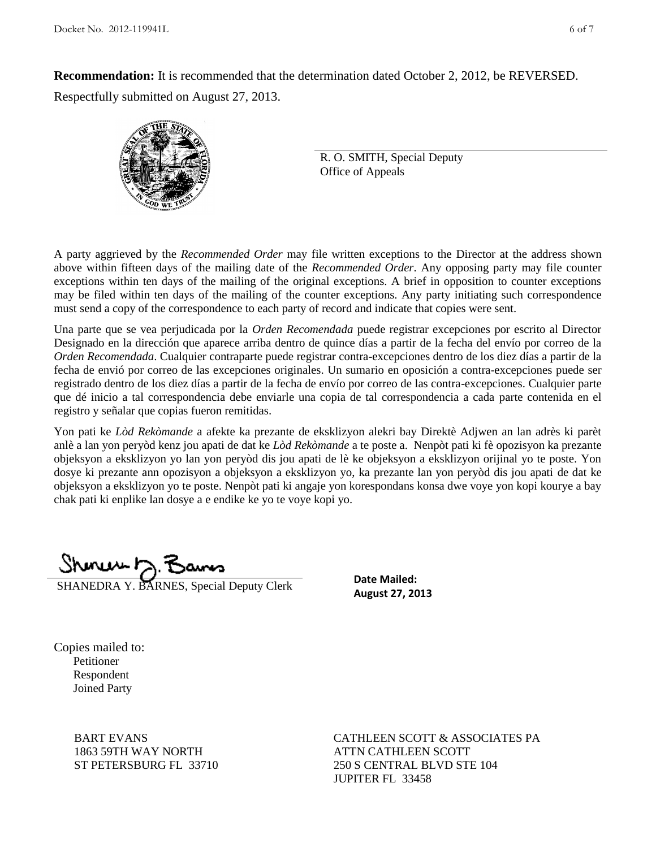**Recommendation:** It is recommended that the determination dated October 2, 2012, be REVERSED. Respectfully submitted on August 27, 2013.



R. O. SMITH, Special Deputy Office of Appeals

A party aggrieved by the *Recommended Order* may file written exceptions to the Director at the address shown above within fifteen days of the mailing date of the *Recommended Order*. Any opposing party may file counter exceptions within ten days of the mailing of the original exceptions. A brief in opposition to counter exceptions may be filed within ten days of the mailing of the counter exceptions. Any party initiating such correspondence must send a copy of the correspondence to each party of record and indicate that copies were sent.

Una parte que se vea perjudicada por la *Orden Recomendada* puede registrar excepciones por escrito al Director Designado en la dirección que aparece arriba dentro de quince días a partir de la fecha del envío por correo de la *Orden Recomendada*. Cualquier contraparte puede registrar contra-excepciones dentro de los diez días a partir de la fecha de envió por correo de las excepciones originales. Un sumario en oposición a contra-excepciones puede ser registrado dentro de los diez días a partir de la fecha de envío por correo de las contra-excepciones. Cualquier parte que dé inicio a tal correspondencia debe enviarle una copia de tal correspondencia a cada parte contenida en el registro y señalar que copias fueron remitidas.

Yon pati ke *Lòd Rekòmande* a afekte ka prezante de eksklizyon alekri bay Direktè Adjwen an lan adrès ki parèt anlè a lan yon peryòd kenz jou apati de dat ke *Lòd Rekòmande* a te poste a. Nenpòt pati ki fè opozisyon ka prezante objeksyon a eksklizyon yo lan yon peryòd dis jou apati de lè ke objeksyon a eksklizyon orijinal yo te poste. Yon dosye ki prezante ann opozisyon a objeksyon a eksklizyon yo, ka prezante lan yon peryòd dis jou apati de dat ke objeksyon a eksklizyon yo te poste. Nenpòt pati ki angaje yon korespondans konsa dwe voye yon kopi kourye a bay chak pati ki enplike lan dosye a e endike ke yo te voye kopi yo.

SHANEDRA Y. BARNES, Special Deputy Clerk

**Date Mailed: August 27, 2013**

Copies mailed to: Petitioner Respondent Joined Party

> BART EVANS 1863 59TH WAY NORTH ST PETERSBURG FL 33710

CATHLEEN SCOTT & ASSOCIATES PA ATTN CATHLEEN SCOTT 250 S CENTRAL BLVD STE 104 JUPITER FL 33458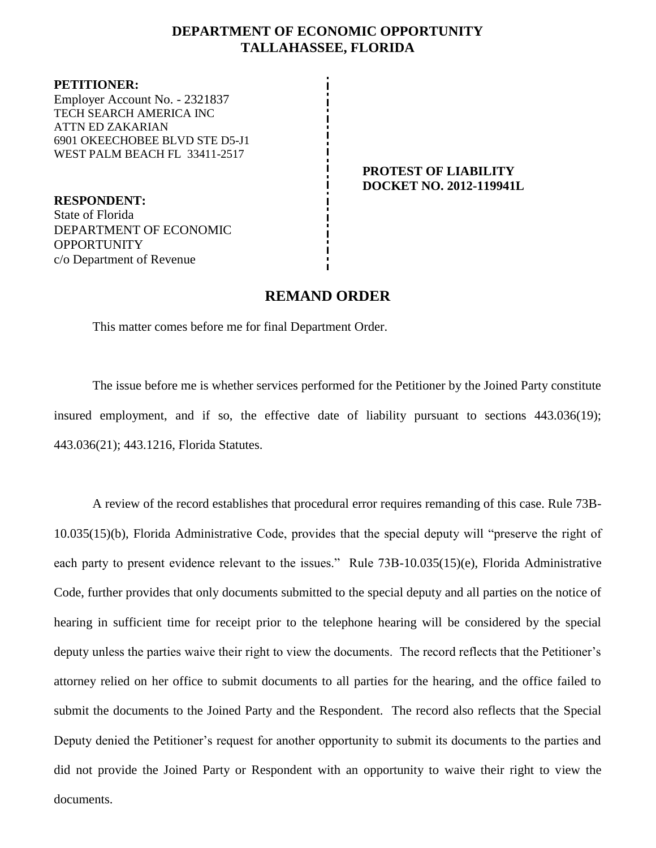## **DEPARTMENT OF ECONOMIC OPPORTUNITY TALLAHASSEE, FLORIDA**

**PETITIONER:** Employer Account No. - 2321837 TECH SEARCH AMERICA INC ATTN ED ZAKARIAN 6901 OKEECHOBEE BLVD STE D5-J1 WEST PALM BEACH FL 33411-2517

**RESPONDENT:** State of Florida DEPARTMENT OF ECONOMIC **OPPORTUNITY** c/o Department of Revenue

## **PROTEST OF LIABILITY DOCKET NO. 2012-119941L**

## **REMAND ORDER**

This matter comes before me for final Department Order.

The issue before me is whether services performed for the Petitioner by the Joined Party constitute insured employment, and if so, the effective date of liability pursuant to sections 443.036(19); 443.036(21); 443.1216, Florida Statutes.

A review of the record establishes that procedural error requires remanding of this case. Rule 73B-10.035(15)(b), Florida Administrative Code, provides that the special deputy will "preserve the right of each party to present evidence relevant to the issues." Rule 73B-10.035(15)(e), Florida Administrative Code, further provides that only documents submitted to the special deputy and all parties on the notice of hearing in sufficient time for receipt prior to the telephone hearing will be considered by the special deputy unless the parties waive their right to view the documents. The record reflects that the Petitioner's attorney relied on her office to submit documents to all parties for the hearing, and the office failed to submit the documents to the Joined Party and the Respondent. The record also reflects that the Special Deputy denied the Petitioner's request for another opportunity to submit its documents to the parties and did not provide the Joined Party or Respondent with an opportunity to waive their right to view the documents.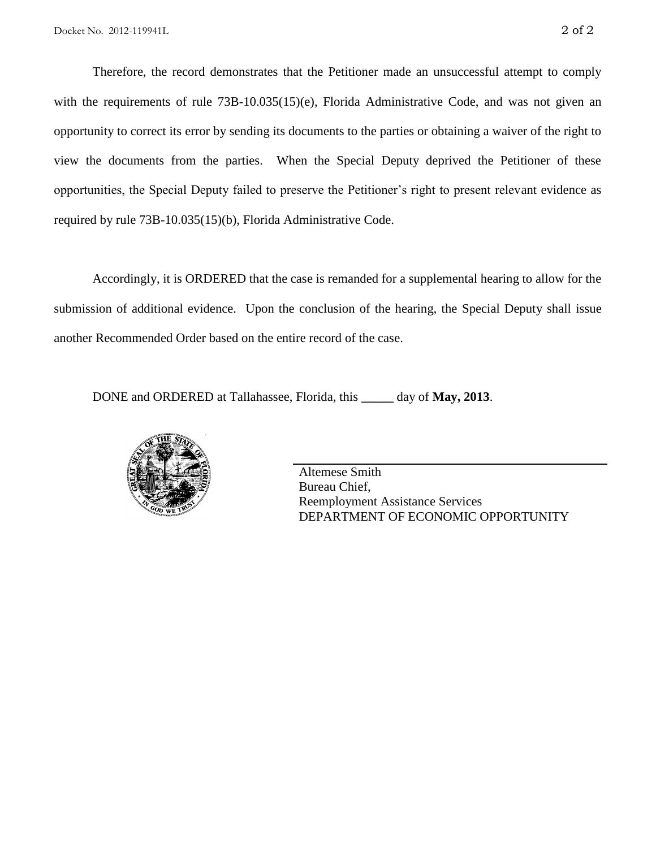Therefore, the record demonstrates that the Petitioner made an unsuccessful attempt to comply with the requirements of rule 73B-10.035(15)(e), Florida Administrative Code, and was not given an opportunity to correct its error by sending its documents to the parties or obtaining a waiver of the right to view the documents from the parties. When the Special Deputy deprived the Petitioner of these opportunities, the Special Deputy failed to preserve the Petitioner's right to present relevant evidence as required by rule 73B-10.035(15)(b), Florida Administrative Code.

Accordingly, it is ORDERED that the case is remanded for a supplemental hearing to allow for the submission of additional evidence. Upon the conclusion of the hearing, the Special Deputy shall issue another Recommended Order based on the entire record of the case.

DONE and ORDERED at Tallahassee, Florida, this **\_\_\_\_\_** day of **May, 2013**.



Altemese Smith Bureau Chief, Reemployment Assistance Services DEPARTMENT OF ECONOMIC OPPORTUNITY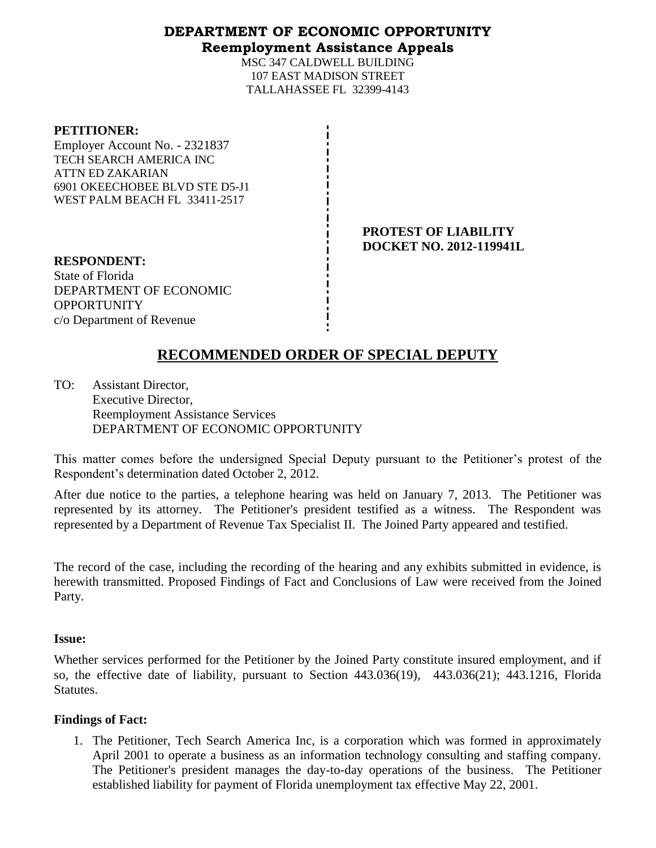## **DEPARTMENT OF ECONOMIC OPPORTUNITY Reemployment Assistance Appeals**

MSC 347 CALDWELL BUILDING 107 EAST MADISON STREET TALLAHASSEE FL 32399-4143

#### **PETITIONER:**

Employer Account No. - 2321837 TECH SEARCH AMERICA INC ATTN ED ZAKARIAN 6901 OKEECHOBEE BLVD STE D5-J1 WEST PALM BEACH FL 33411-2517

> **PROTEST OF LIABILITY DOCKET NO. 2012-119941L**

**RESPONDENT:** State of Florida DEPARTMENT OF ECONOMIC **OPPORTUNITY** c/o Department of Revenue

# **RECOMMENDED ORDER OF SPECIAL DEPUTY**

TO: Assistant Director, Executive Director, Reemployment Assistance Services DEPARTMENT OF ECONOMIC OPPORTUNITY

This matter comes before the undersigned Special Deputy pursuant to the Petitioner's protest of the Respondent's determination dated October 2, 2012.

After due notice to the parties, a telephone hearing was held on January 7, 2013. The Petitioner was represented by its attorney. The Petitioner's president testified as a witness. The Respondent was represented by a Department of Revenue Tax Specialist II. The Joined Party appeared and testified.

The record of the case, including the recording of the hearing and any exhibits submitted in evidence, is herewith transmitted. Proposed Findings of Fact and Conclusions of Law were received from the Joined Party.

## **Issue:**

Whether services performed for the Petitioner by the Joined Party constitute insured employment, and if so, the effective date of liability, pursuant to Section 443.036(19), 443.036(21); 443.1216, Florida Statutes.

## **Findings of Fact:**

1. The Petitioner, Tech Search America Inc, is a corporation which was formed in approximately April 2001 to operate a business as an information technology consulting and staffing company. The Petitioner's president manages the day-to-day operations of the business. The Petitioner established liability for payment of Florida unemployment tax effective May 22, 2001.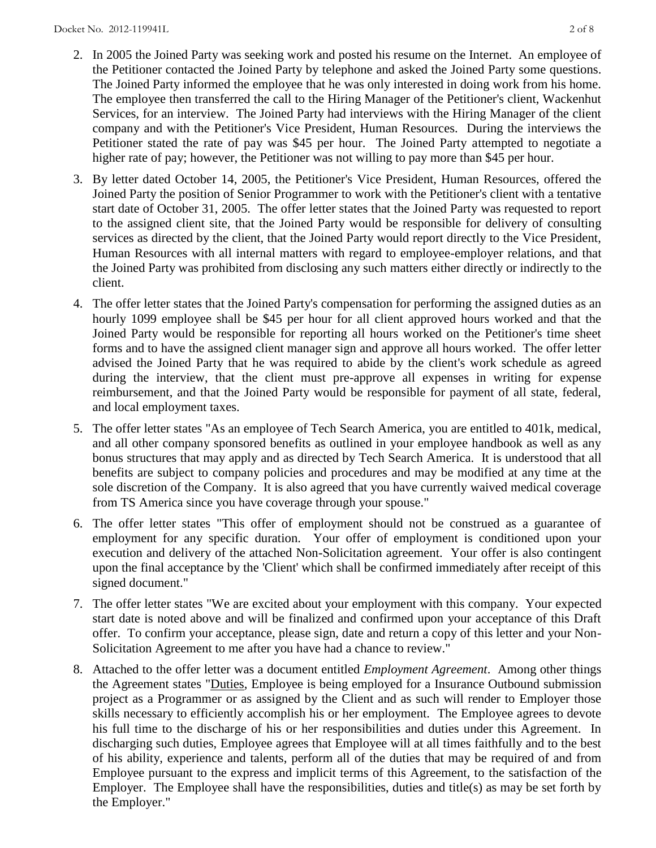- 2. In 2005 the Joined Party was seeking work and posted his resume on the Internet. An employee of the Petitioner contacted the Joined Party by telephone and asked the Joined Party some questions. The Joined Party informed the employee that he was only interested in doing work from his home. The employee then transferred the call to the Hiring Manager of the Petitioner's client, Wackenhut Services, for an interview. The Joined Party had interviews with the Hiring Manager of the client company and with the Petitioner's Vice President, Human Resources. During the interviews the Petitioner stated the rate of pay was \$45 per hour. The Joined Party attempted to negotiate a higher rate of pay; however, the Petitioner was not willing to pay more than \$45 per hour.
- 3. By letter dated October 14, 2005, the Petitioner's Vice President, Human Resources, offered the Joined Party the position of Senior Programmer to work with the Petitioner's client with a tentative start date of October 31, 2005. The offer letter states that the Joined Party was requested to report to the assigned client site, that the Joined Party would be responsible for delivery of consulting services as directed by the client, that the Joined Party would report directly to the Vice President, Human Resources with all internal matters with regard to employee-employer relations, and that the Joined Party was prohibited from disclosing any such matters either directly or indirectly to the client.
- 4. The offer letter states that the Joined Party's compensation for performing the assigned duties as an hourly 1099 employee shall be \$45 per hour for all client approved hours worked and that the Joined Party would be responsible for reporting all hours worked on the Petitioner's time sheet forms and to have the assigned client manager sign and approve all hours worked. The offer letter advised the Joined Party that he was required to abide by the client's work schedule as agreed during the interview, that the client must pre-approve all expenses in writing for expense reimbursement, and that the Joined Party would be responsible for payment of all state, federal, and local employment taxes.
- 5. The offer letter states "As an employee of Tech Search America, you are entitled to 401k, medical, and all other company sponsored benefits as outlined in your employee handbook as well as any bonus structures that may apply and as directed by Tech Search America. It is understood that all benefits are subject to company policies and procedures and may be modified at any time at the sole discretion of the Company. It is also agreed that you have currently waived medical coverage from TS America since you have coverage through your spouse."
- 6. The offer letter states "This offer of employment should not be construed as a guarantee of employment for any specific duration. Your offer of employment is conditioned upon your execution and delivery of the attached Non-Solicitation agreement. Your offer is also contingent upon the final acceptance by the 'Client' which shall be confirmed immediately after receipt of this signed document."
- 7. The offer letter states "We are excited about your employment with this company. Your expected start date is noted above and will be finalized and confirmed upon your acceptance of this Draft offer. To confirm your acceptance, please sign, date and return a copy of this letter and your Non-Solicitation Agreement to me after you have had a chance to review."
- 8. Attached to the offer letter was a document entitled *Employment Agreement*. Among other things the Agreement states "Duties, Employee is being employed for a Insurance Outbound submission project as a Programmer or as assigned by the Client and as such will render to Employer those skills necessary to efficiently accomplish his or her employment. The Employee agrees to devote his full time to the discharge of his or her responsibilities and duties under this Agreement. In discharging such duties, Employee agrees that Employee will at all times faithfully and to the best of his ability, experience and talents, perform all of the duties that may be required of and from Employee pursuant to the express and implicit terms of this Agreement, to the satisfaction of the Employer. The Employee shall have the responsibilities, duties and title(s) as may be set forth by the Employer."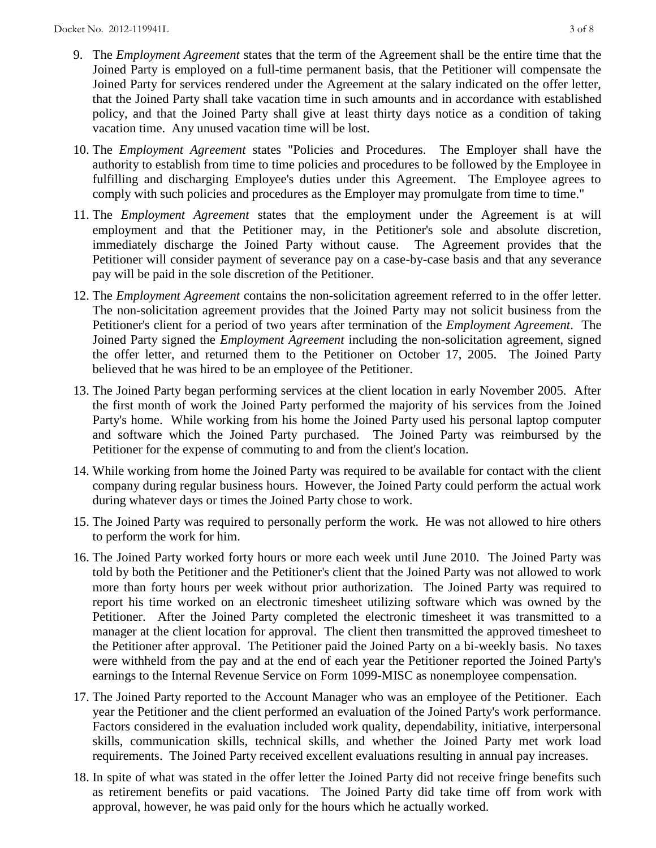- 9. The *Employment Agreement* states that the term of the Agreement shall be the entire time that the Joined Party is employed on a full-time permanent basis, that the Petitioner will compensate the Joined Party for services rendered under the Agreement at the salary indicated on the offer letter, that the Joined Party shall take vacation time in such amounts and in accordance with established policy, and that the Joined Party shall give at least thirty days notice as a condition of taking vacation time. Any unused vacation time will be lost.
- 10. The *Employment Agreement* states "Policies and Procedures. The Employer shall have the authority to establish from time to time policies and procedures to be followed by the Employee in fulfilling and discharging Employee's duties under this Agreement. The Employee agrees to comply with such policies and procedures as the Employer may promulgate from time to time."
- 11. The *Employment Agreement* states that the employment under the Agreement is at will employment and that the Petitioner may, in the Petitioner's sole and absolute discretion, immediately discharge the Joined Party without cause. The Agreement provides that the Petitioner will consider payment of severance pay on a case-by-case basis and that any severance pay will be paid in the sole discretion of the Petitioner.
- 12. The *Employment Agreement* contains the non-solicitation agreement referred to in the offer letter. The non-solicitation agreement provides that the Joined Party may not solicit business from the Petitioner's client for a period of two years after termination of the *Employment Agreement*. The Joined Party signed the *Employment Agreement* including the non-solicitation agreement, signed the offer letter, and returned them to the Petitioner on October 17, 2005. The Joined Party believed that he was hired to be an employee of the Petitioner.
- 13. The Joined Party began performing services at the client location in early November 2005. After the first month of work the Joined Party performed the majority of his services from the Joined Party's home. While working from his home the Joined Party used his personal laptop computer and software which the Joined Party purchased. The Joined Party was reimbursed by the Petitioner for the expense of commuting to and from the client's location.
- 14. While working from home the Joined Party was required to be available for contact with the client company during regular business hours. However, the Joined Party could perform the actual work during whatever days or times the Joined Party chose to work.
- 15. The Joined Party was required to personally perform the work. He was not allowed to hire others to perform the work for him.
- 16. The Joined Party worked forty hours or more each week until June 2010. The Joined Party was told by both the Petitioner and the Petitioner's client that the Joined Party was not allowed to work more than forty hours per week without prior authorization. The Joined Party was required to report his time worked on an electronic timesheet utilizing software which was owned by the Petitioner. After the Joined Party completed the electronic timesheet it was transmitted to a manager at the client location for approval. The client then transmitted the approved timesheet to the Petitioner after approval. The Petitioner paid the Joined Party on a bi-weekly basis. No taxes were withheld from the pay and at the end of each year the Petitioner reported the Joined Party's earnings to the Internal Revenue Service on Form 1099-MISC as nonemployee compensation.
- 17. The Joined Party reported to the Account Manager who was an employee of the Petitioner. Each year the Petitioner and the client performed an evaluation of the Joined Party's work performance. Factors considered in the evaluation included work quality, dependability, initiative, interpersonal skills, communication skills, technical skills, and whether the Joined Party met work load requirements. The Joined Party received excellent evaluations resulting in annual pay increases.
- 18. In spite of what was stated in the offer letter the Joined Party did not receive fringe benefits such as retirement benefits or paid vacations. The Joined Party did take time off from work with approval, however, he was paid only for the hours which he actually worked.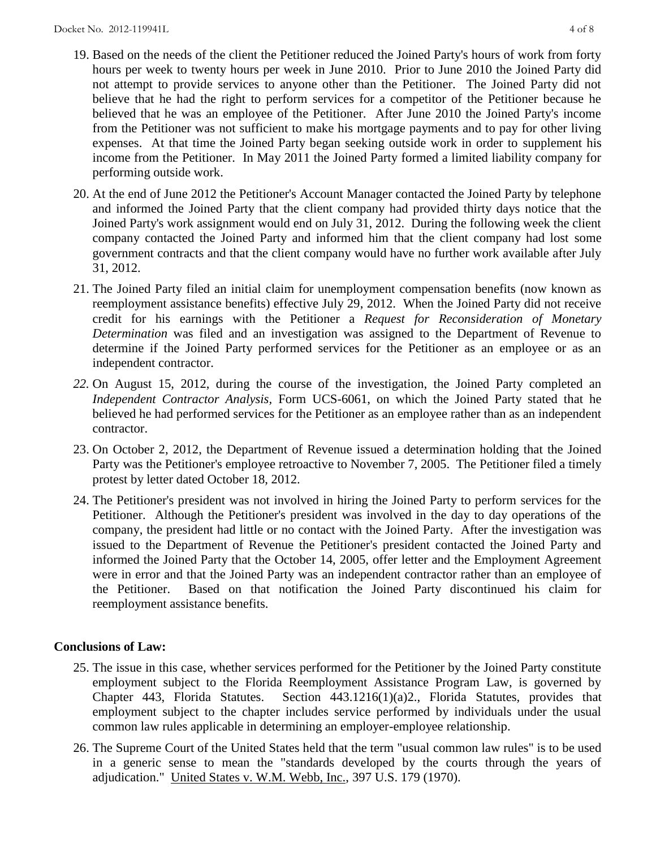- 19. Based on the needs of the client the Petitioner reduced the Joined Party's hours of work from forty hours per week to twenty hours per week in June 2010. Prior to June 2010 the Joined Party did not attempt to provide services to anyone other than the Petitioner. The Joined Party did not believe that he had the right to perform services for a competitor of the Petitioner because he believed that he was an employee of the Petitioner. After June 2010 the Joined Party's income from the Petitioner was not sufficient to make his mortgage payments and to pay for other living expenses. At that time the Joined Party began seeking outside work in order to supplement his income from the Petitioner. In May 2011 the Joined Party formed a limited liability company for performing outside work.
- 20. At the end of June 2012 the Petitioner's Account Manager contacted the Joined Party by telephone and informed the Joined Party that the client company had provided thirty days notice that the Joined Party's work assignment would end on July 31, 2012. During the following week the client company contacted the Joined Party and informed him that the client company had lost some government contracts and that the client company would have no further work available after July 31, 2012.
- 21. The Joined Party filed an initial claim for unemployment compensation benefits (now known as reemployment assistance benefits) effective July 29, 2012. When the Joined Party did not receive credit for his earnings with the Petitioner a *Request for Reconsideration of Monetary Determination* was filed and an investigation was assigned to the Department of Revenue to determine if the Joined Party performed services for the Petitioner as an employee or as an independent contractor.
- *22.* On August 15, 2012, during the course of the investigation, the Joined Party completed an *Independent Contractor Analysis,* Form UCS-6061, on which the Joined Party stated that he believed he had performed services for the Petitioner as an employee rather than as an independent contractor.
- 23. On October 2, 2012, the Department of Revenue issued a determination holding that the Joined Party was the Petitioner's employee retroactive to November 7, 2005. The Petitioner filed a timely protest by letter dated October 18, 2012.
- 24. The Petitioner's president was not involved in hiring the Joined Party to perform services for the Petitioner. Although the Petitioner's president was involved in the day to day operations of the company, the president had little or no contact with the Joined Party. After the investigation was issued to the Department of Revenue the Petitioner's president contacted the Joined Party and informed the Joined Party that the October 14, 2005, offer letter and the Employment Agreement were in error and that the Joined Party was an independent contractor rather than an employee of the Petitioner. Based on that notification the Joined Party discontinued his claim for reemployment assistance benefits.

## **Conclusions of Law:**

- 25. The issue in this case, whether services performed for the Petitioner by the Joined Party constitute employment subject to the Florida Reemployment Assistance Program Law, is governed by Chapter 443, Florida Statutes. Section 443.1216(1)(a)2., Florida Statutes, provides that employment subject to the chapter includes service performed by individuals under the usual common law rules applicable in determining an employer-employee relationship.
- 26. The Supreme Court of the United States held that the term "usual common law rules" is to be used in a generic sense to mean the "standards developed by the courts through the years of adjudication." United States v. W.M. Webb, Inc., 397 U.S. 179 (1970).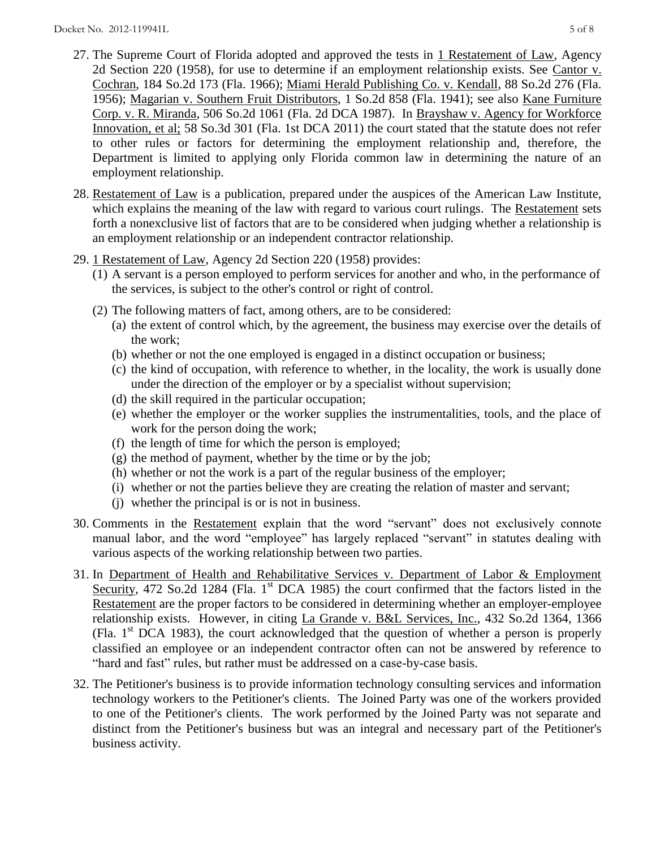- 27. The Supreme Court of Florida adopted and approved the tests in 1 Restatement of Law, Agency 2d Section 220 (1958), for use to determine if an employment relationship exists. See Cantor v. Cochran, 184 So.2d 173 (Fla. 1966); Miami Herald Publishing Co. v. Kendall, 88 So.2d 276 (Fla. 1956); Magarian v. Southern Fruit Distributors, 1 So.2d 858 (Fla. 1941); see also Kane Furniture Corp. v. R. Miranda, 506 So.2d 1061 (Fla. 2d DCA 1987). In Brayshaw v. Agency for Workforce Innovation, et al; 58 So.3d 301 (Fla. 1st DCA 2011) the court stated that the statute does not refer to other rules or factors for determining the employment relationship and, therefore, the Department is limited to applying only Florida common law in determining the nature of an employment relationship.
- 28. Restatement of Law is a publication, prepared under the auspices of the American Law Institute, which explains the meaning of the law with regard to various court rulings. The Restatement sets forth a nonexclusive list of factors that are to be considered when judging whether a relationship is an employment relationship or an independent contractor relationship.
- 29. 1 Restatement of Law, Agency 2d Section 220 (1958) provides:
	- (1) A servant is a person employed to perform services for another and who, in the performance of the services, is subject to the other's control or right of control.
	- (2) The following matters of fact, among others, are to be considered:
		- (a) the extent of control which, by the agreement, the business may exercise over the details of the work;
		- (b) whether or not the one employed is engaged in a distinct occupation or business;
		- (c) the kind of occupation, with reference to whether, in the locality, the work is usually done under the direction of the employer or by a specialist without supervision;
		- (d) the skill required in the particular occupation;
		- (e) whether the employer or the worker supplies the instrumentalities, tools, and the place of work for the person doing the work;
		- (f) the length of time for which the person is employed;
		- (g) the method of payment, whether by the time or by the job;
		- (h) whether or not the work is a part of the regular business of the employer;
		- (i) whether or not the parties believe they are creating the relation of master and servant;
		- (j) whether the principal is or is not in business.
- 30. Comments in the Restatement explain that the word "servant" does not exclusively connote manual labor, and the word "employee" has largely replaced "servant" in statutes dealing with various aspects of the working relationship between two parties.
- 31. In Department of Health and Rehabilitative Services v. Department of Labor & Employment Security, 472 So.2d 1284 (Fla. 1<sup>st</sup> DCA 1985) the court confirmed that the factors listed in the Restatement are the proper factors to be considered in determining whether an employer-employee relationship exists. However, in citing La Grande v. B&L Services, Inc., 432 So.2d 1364, 1366 (Fla.  $1<sup>st</sup> DCA$  1983), the court acknowledged that the question of whether a person is properly classified an employee or an independent contractor often can not be answered by reference to "hard and fast" rules, but rather must be addressed on a case-by-case basis.
- 32. The Petitioner's business is to provide information technology consulting services and information technology workers to the Petitioner's clients. The Joined Party was one of the workers provided to one of the Petitioner's clients. The work performed by the Joined Party was not separate and distinct from the Petitioner's business but was an integral and necessary part of the Petitioner's business activity.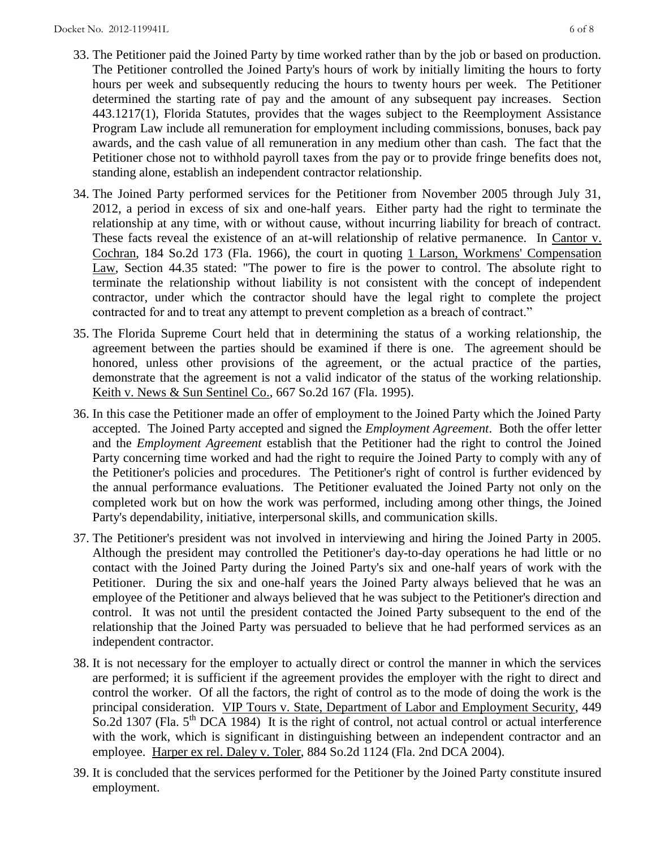- 33. The Petitioner paid the Joined Party by time worked rather than by the job or based on production. The Petitioner controlled the Joined Party's hours of work by initially limiting the hours to forty hours per week and subsequently reducing the hours to twenty hours per week. The Petitioner determined the starting rate of pay and the amount of any subsequent pay increases. Section 443.1217(1), Florida Statutes, provides that the wages subject to the Reemployment Assistance Program Law include all remuneration for employment including commissions, bonuses, back pay awards, and the cash value of all remuneration in any medium other than cash. The fact that the Petitioner chose not to withhold payroll taxes from the pay or to provide fringe benefits does not, standing alone, establish an independent contractor relationship.
- 34. The Joined Party performed services for the Petitioner from November 2005 through July 31, 2012, a period in excess of six and one-half years. Either party had the right to terminate the relationship at any time, with or without cause, without incurring liability for breach of contract. These facts reveal the existence of an at-will relationship of relative permanence. In Cantor v. Cochran, 184 So.2d 173 (Fla. 1966), the court in quoting 1 Larson, Workmens' Compensation Law, Section 44.35 stated: "The power to fire is the power to control. The absolute right to terminate the relationship without liability is not consistent with the concept of independent contractor, under which the contractor should have the legal right to complete the project contracted for and to treat any attempt to prevent completion as a breach of contract."
- 35. The Florida Supreme Court held that in determining the status of a working relationship, the agreement between the parties should be examined if there is one. The agreement should be honored, unless other provisions of the agreement, or the actual practice of the parties, demonstrate that the agreement is not a valid indicator of the status of the working relationship. Keith v. News & Sun Sentinel Co., 667 So.2d 167 (Fla. 1995).
- 36. In this case the Petitioner made an offer of employment to the Joined Party which the Joined Party accepted. The Joined Party accepted and signed the *Employment Agreement*. Both the offer letter and the *Employment Agreement* establish that the Petitioner had the right to control the Joined Party concerning time worked and had the right to require the Joined Party to comply with any of the Petitioner's policies and procedures. The Petitioner's right of control is further evidenced by the annual performance evaluations. The Petitioner evaluated the Joined Party not only on the completed work but on how the work was performed, including among other things, the Joined Party's dependability, initiative, interpersonal skills, and communication skills.
- 37. The Petitioner's president was not involved in interviewing and hiring the Joined Party in 2005. Although the president may controlled the Petitioner's day-to-day operations he had little or no contact with the Joined Party during the Joined Party's six and one-half years of work with the Petitioner. During the six and one-half years the Joined Party always believed that he was an employee of the Petitioner and always believed that he was subject to the Petitioner's direction and control. It was not until the president contacted the Joined Party subsequent to the end of the relationship that the Joined Party was persuaded to believe that he had performed services as an independent contractor.
- 38. It is not necessary for the employer to actually direct or control the manner in which the services are performed; it is sufficient if the agreement provides the employer with the right to direct and control the worker. Of all the factors, the right of control as to the mode of doing the work is the principal consideration. VIP Tours v. State, Department of Labor and Employment Security, 449 So.2d 1307 (Fla.  $5<sup>th</sup> DCA$  1984) It is the right of control, not actual control or actual interference with the work, which is significant in distinguishing between an independent contractor and an employee. Harper ex rel. Daley v. Toler, 884 So.2d 1124 (Fla. 2nd DCA 2004).
- 39. It is concluded that the services performed for the Petitioner by the Joined Party constitute insured employment.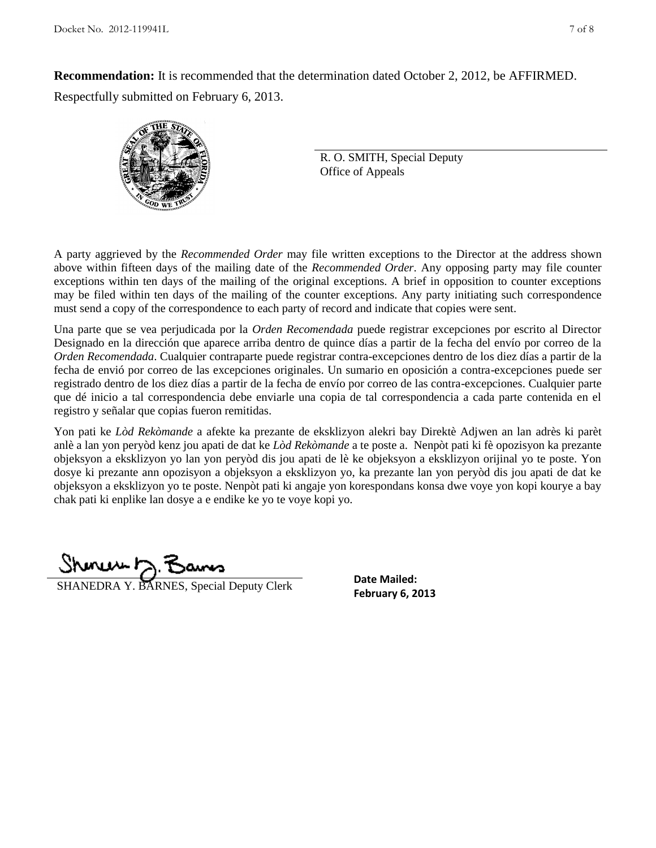**Recommendation:** It is recommended that the determination dated October 2, 2012, be AFFIRMED. Respectfully submitted on February 6, 2013.



R. O. SMITH, Special Deputy Office of Appeals

A party aggrieved by the *Recommended Order* may file written exceptions to the Director at the address shown above within fifteen days of the mailing date of the *Recommended Order*. Any opposing party may file counter exceptions within ten days of the mailing of the original exceptions. A brief in opposition to counter exceptions may be filed within ten days of the mailing of the counter exceptions. Any party initiating such correspondence must send a copy of the correspondence to each party of record and indicate that copies were sent.

Una parte que se vea perjudicada por la *Orden Recomendada* puede registrar excepciones por escrito al Director Designado en la dirección que aparece arriba dentro de quince días a partir de la fecha del envío por correo de la *Orden Recomendada*. Cualquier contraparte puede registrar contra-excepciones dentro de los diez días a partir de la fecha de envió por correo de las excepciones originales. Un sumario en oposición a contra-excepciones puede ser registrado dentro de los diez días a partir de la fecha de envío por correo de las contra-excepciones. Cualquier parte que dé inicio a tal correspondencia debe enviarle una copia de tal correspondencia a cada parte contenida en el registro y señalar que copias fueron remitidas.

Yon pati ke *Lòd Rekòmande* a afekte ka prezante de eksklizyon alekri bay Direktè Adjwen an lan adrès ki parèt anlè a lan yon peryòd kenz jou apati de dat ke *Lòd Rekòmande* a te poste a. Nenpòt pati ki fè opozisyon ka prezante objeksyon a eksklizyon yo lan yon peryòd dis jou apati de lè ke objeksyon a eksklizyon orijinal yo te poste. Yon dosye ki prezante ann opozisyon a objeksyon a eksklizyon yo, ka prezante lan yon peryòd dis jou apati de dat ke objeksyon a eksklizyon yo te poste. Nenpòt pati ki angaje yon korespondans konsa dwe voye yon kopi kourye a bay chak pati ki enplike lan dosye a e endike ke yo te voye kopi yo.

**FRANEDRA Y. BARNES, Special Deputy Clerk February 6, 2013** 

**Date Mailed:**